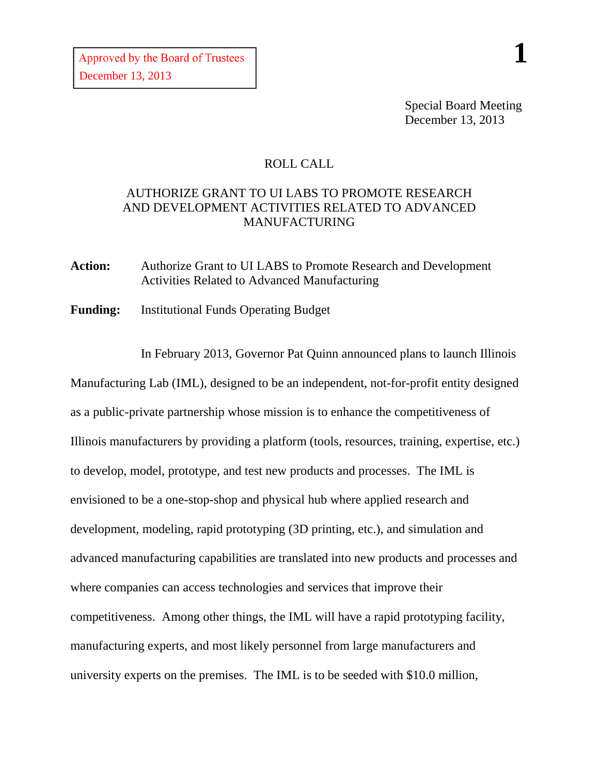Special Board Meeting December 13, 2013

## ROLL CALL

## AUTHORIZE GRANT TO UI LABS TO PROMOTE RESEARCH AND DEVELOPMENT ACTIVITIES RELATED TO ADVANCED MANUFACTURING

**Action:** Authorize Grant to UI LABS to Promote Research and Development Activities Related to Advanced Manufacturing

**Funding:** Institutional Funds Operating Budget

In February 2013, Governor Pat Quinn announced plans to launch Illinois Manufacturing Lab (IML), designed to be an independent, not-for-profit entity designed as a public-private partnership whose mission is to enhance the competitiveness of Illinois manufacturers by providing a platform (tools, resources, training, expertise, etc.) to develop, model, prototype, and test new products and processes. The IML is envisioned to be a one-stop-shop and physical hub where applied research and development, modeling, rapid prototyping (3D printing, etc.), and simulation and advanced manufacturing capabilities are translated into new products and processes and where companies can access technologies and services that improve their competitiveness. Among other things, the IML will have a rapid prototyping facility, manufacturing experts, and most likely personnel from large manufacturers and university experts on the premises. The IML is to be seeded with \$10.0 million,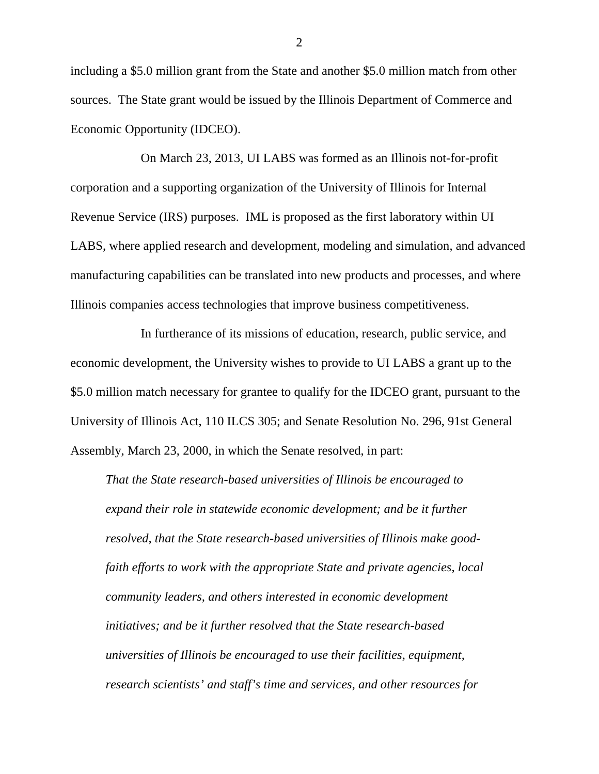including a \$5.0 million grant from the State and another \$5.0 million match from other sources. The State grant would be issued by the Illinois Department of Commerce and Economic Opportunity (IDCEO).

On March 23, 2013, UI LABS was formed as an Illinois not-for-profit corporation and a supporting organization of the University of Illinois for Internal Revenue Service (IRS) purposes. IML is proposed as the first laboratory within UI LABS, where applied research and development, modeling and simulation, and advanced manufacturing capabilities can be translated into new products and processes, and where Illinois companies access technologies that improve business competitiveness.

In furtherance of its missions of education, research, public service, and economic development, the University wishes to provide to UI LABS a grant up to the \$5.0 million match necessary for grantee to qualify for the IDCEO grant, pursuant to the University of Illinois Act, 110 ILCS 305; and Senate Resolution No. 296, 91st General Assembly, March 23, 2000, in which the Senate resolved, in part:

*That the State research-based universities of Illinois be encouraged to expand their role in statewide economic development; and be it further resolved, that the State research-based universities of Illinois make goodfaith efforts to work with the appropriate State and private agencies, local community leaders, and others interested in economic development initiatives; and be it further resolved that the State research-based universities of Illinois be encouraged to use their facilities, equipment, research scientists' and staff's time and services, and other resources for* 

2